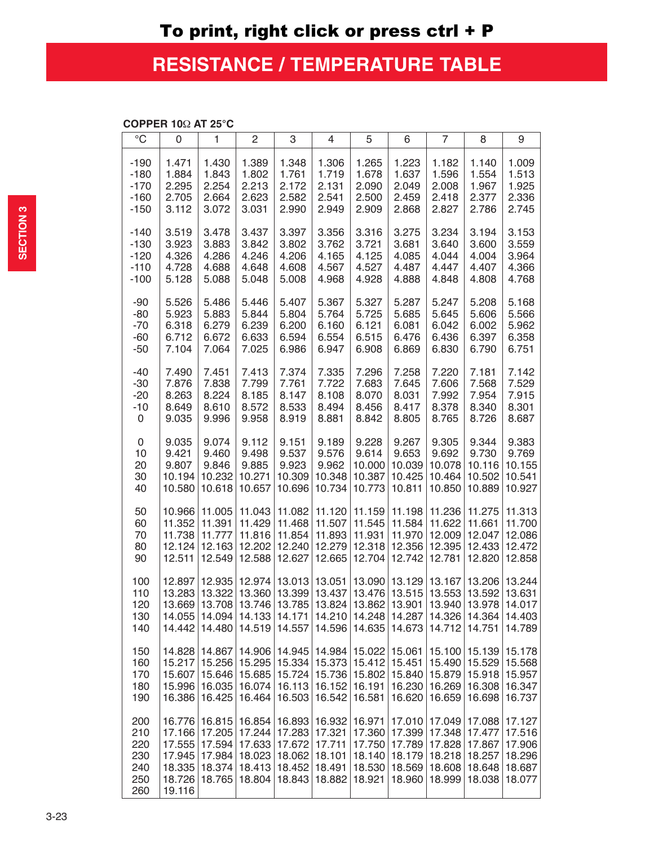## **RESISTANCE / TEMPERATURE TABLE**

## **COPPER 10**Ω **AT 25°C**

| $\rm ^{\circ}C$                               | 0                                                                  | 1                                                        | 2                                                                       | 3                                                            | 4                                           | 5                                                        | 6                                                        | 7                                                        | 8                                                         | 9                                                        |
|-----------------------------------------------|--------------------------------------------------------------------|----------------------------------------------------------|-------------------------------------------------------------------------|--------------------------------------------------------------|---------------------------------------------|----------------------------------------------------------|----------------------------------------------------------|----------------------------------------------------------|-----------------------------------------------------------|----------------------------------------------------------|
| $-190$                                        | 1.471                                                              | 1.430                                                    | 1.389                                                                   | 1.348                                                        | 1.306                                       | 1.265                                                    | 1.223                                                    | 1.182                                                    | 1.140                                                     | 1.009                                                    |
| $-180$                                        | 1.884                                                              | 1.843                                                    | 1.802                                                                   | 1.761                                                        | 1.719                                       | 1.678                                                    | 1.637                                                    | 1.596                                                    | 1.554                                                     | 1.513                                                    |
| $-170$                                        | 2.295                                                              | 2.254                                                    | 2.213                                                                   | 2.172                                                        | 2.131                                       | 2.090                                                    | 2.049                                                    | 2.008                                                    | 1.967                                                     | 1.925                                                    |
| $-160$                                        | 2.705                                                              | 2.664                                                    | 2.623                                                                   | 2.582                                                        | 2.541                                       | 2.500                                                    | 2.459                                                    | 2.418                                                    | 2.377                                                     | 2.336                                                    |
| $-150$                                        | 3.112                                                              | 3.072                                                    | 3.031                                                                   | 2.990                                                        | 2.949                                       | 2.909                                                    | 2.868                                                    | 2.827                                                    | 2.786                                                     | 2.745                                                    |
| $-140$                                        | 3.519                                                              | 3.478                                                    | 3.437                                                                   | 3.397                                                        | 3.356                                       | 3.316                                                    | 3.275                                                    | 3.234                                                    | 3.194                                                     | 3.153                                                    |
| $-130$                                        | 3.923                                                              | 3.883                                                    | 3.842                                                                   | 3.802                                                        | 3.762                                       | 3.721                                                    | 3.681                                                    | 3.640                                                    | 3.600                                                     | 3.559                                                    |
| $-120$                                        | 4.326                                                              | 4.286                                                    | 4.246                                                                   | 4.206                                                        | 4.165                                       | 4.125                                                    | 4.085                                                    | 4.044                                                    | 4.004                                                     | 3.964                                                    |
| $-110$                                        | 4.728                                                              | 4.688                                                    | 4.648                                                                   | 4.608                                                        | 4.567                                       | 4.527                                                    | 4.487                                                    | 4.447                                                    | 4.407                                                     | 4.366                                                    |
| $-100$                                        | 5.128                                                              | 5.088                                                    | 5.048                                                                   | 5.008                                                        | 4.968                                       | 4.928                                                    | 4.888                                                    | 4.848                                                    | 4.808                                                     | 4.768                                                    |
| $-90$                                         | 5.526                                                              | 5.486                                                    | 5.446                                                                   | 5.407                                                        | 5.367                                       | 5.327                                                    | 5.287                                                    | 5.247                                                    | 5.208                                                     | 5.168                                                    |
| $-80$                                         | 5.923                                                              | 5.883                                                    | 5.844                                                                   | 5.804                                                        | 5.764                                       | 5.725                                                    | 5.685                                                    | 5.645                                                    | 5.606                                                     | 5.566                                                    |
| $-70$                                         | 6.318                                                              | 6.279                                                    | 6.239                                                                   | 6.200                                                        | 6.160                                       | 6.121                                                    | 6.081                                                    | 6.042                                                    | 6.002                                                     | 5.962                                                    |
| $-60$                                         | 6.712                                                              | 6.672                                                    | 6.633                                                                   | 6.594                                                        | 6.554                                       | 6.515                                                    | 6.476                                                    | 6.436                                                    | 6.397                                                     | 6.358                                                    |
| $-50$                                         | 7.104                                                              | 7.064                                                    | 7.025                                                                   | 6.986                                                        | 6.947                                       | 6.908                                                    | 6.869                                                    | 6.830                                                    | 6.790                                                     | 6.751                                                    |
| $-40$                                         | 7.490                                                              | 7.451                                                    | 7.413                                                                   | 7.374                                                        | 7.335                                       | 7.296                                                    | 7.258                                                    | 7.220                                                    | 7.181                                                     | 7.142                                                    |
| -30                                           | 7.876                                                              | 7.838                                                    | 7.799                                                                   | 7.761                                                        | 7.722                                       | 7.683                                                    | 7.645                                                    | 7.606                                                    | 7.568                                                     | 7.529                                                    |
| $-20$                                         | 8.263                                                              | 8.224                                                    | 8.185                                                                   | 8.147                                                        | 8.108                                       | 8.070                                                    | 8.031                                                    | 7.992                                                    | 7.954                                                     | 7.915                                                    |
| $-10$                                         | 8.649                                                              | 8.610                                                    | 8.572                                                                   | 8.533                                                        | 8.494                                       | 8.456                                                    | 8.417                                                    | 8.378                                                    | 8.340                                                     | 8.301                                                    |
| 0                                             | 9.035                                                              | 9.996                                                    | 9.958                                                                   | 8.919                                                        | 8.881                                       | 8.842                                                    | 8.805                                                    | 8.765                                                    | 8.726                                                     | 8.687                                                    |
| 0                                             | 9.035                                                              | 9.074                                                    | 9.112                                                                   | 9.151                                                        | 9.189                                       | 9.228                                                    | 9.267                                                    | 9.305                                                    | 9.344                                                     | 9.383                                                    |
| 10                                            | 9.421                                                              | 9.460                                                    | 9.498                                                                   | 9.537                                                        | 9.576                                       | 9.614                                                    | 9.653                                                    | 9.692                                                    | 9.730                                                     | 9.769                                                    |
| 20                                            | 9.807                                                              | 9.846                                                    | 9.885                                                                   | 9.923                                                        | 9.962                                       | 10.000                                                   | 10.039                                                   | 10.078                                                   | 10.116                                                    | 10.155                                                   |
| 30                                            | 10.194                                                             | 10.232                                                   | 10.271                                                                  | 10.309                                                       | 10.348                                      | 10.387                                                   | 10.425                                                   | 10.464                                                   | 10.502                                                    | 10.541                                                   |
| 40                                            | 10.580                                                             | 10.618                                                   | 10.657                                                                  | 10.696                                                       | 10.734                                      | 10.773                                                   | 10.811                                                   | 10.850                                                   | 10.889                                                    | 10.927                                                   |
| 50                                            | 10.966                                                             | 11.005                                                   | 11.043                                                                  | 11.082                                                       | 11.120                                      | 11.159                                                   | 11.198                                                   | 11.236                                                   | 11.275                                                    | 11.313                                                   |
| 60                                            | 11.352                                                             | 11.391                                                   | 11.429                                                                  | 11.468                                                       | 11.507                                      | 11.545                                                   | 11.584                                                   | 11.622                                                   | 11.661                                                    | 11.700                                                   |
| 70                                            | 11.738                                                             | 11.777                                                   | 11.816                                                                  | 11.854                                                       | 11.893                                      | 11.931                                                   | 11.970                                                   | 12.009                                                   | 12.047                                                    | 12.086                                                   |
| 80                                            | 12.124                                                             | 12.163                                                   | 12.202                                                                  | 12.240                                                       | 12.279                                      | 12.318                                                   | 12.356                                                   | 12.395                                                   | 12.433                                                    | 12.472                                                   |
| 90                                            | 12.511                                                             | 12.549                                                   | 12.588                                                                  | 12.627                                                       | 12.665                                      | 12.704                                                   | 12.742                                                   | 12.781                                                   | 12.820                                                    | 12.858                                                   |
| 100<br>110<br>120<br>130<br>140               | 12.897<br>13.283<br>13.669<br>14.055<br>14.442                     | 12.935<br>13.322<br>13.708<br>14.480                     | 12.974<br>13.360<br>14.094 14.133 14.171 14.210 14.248 14.287<br>14.519 | 13.013<br>13.399<br>13.746 13.785<br>14.557                  | 13.051<br>13.437<br>13.824<br>14.596        | 13.090<br>13.476<br>13.862<br>14.635                     | 13.129<br>13.515<br>13.901<br>14.673                     | 13.167<br>13.553<br>13.940<br>14.712                     | 13.206<br>13.592<br>13.978<br>14.326   14.364  <br>14.751 | 13.244<br>13.631<br>14.017<br>14.403<br>14.789           |
| 150<br>160<br>170<br>180<br>190               | 14.828<br>15.217<br>15.607<br>15.996<br>16.386                     | 14.867<br>15.646<br>16.035<br>16.425                     | 15.256 15.295 15.334 15.373<br>15.685<br>16.074<br>16.464               | 14.906 14.945<br>15.724<br>16.113<br>16.503                  | 14.984 <br>15.736<br>16.152<br>16.542       | 15.022<br>15.412<br>15.802<br>16.191<br>16.581           | 15.061<br>15.451<br>15.840<br>16.230<br>16.620           | 15.100<br>15.490<br>15.879<br>16.269<br>16.659           | 15.139<br>15.529<br>15.918<br>16.308<br>16.698            | 15.178<br>15.568<br>15.957<br>16.347<br>16.737           |
| 200<br>210<br>220<br>230<br>240<br>250<br>260 | 16.776<br>17.166<br>17.555<br>17.945<br>18.335<br>18.726<br>19.116 | 16.815<br>17.205<br>17.594<br>17.984<br>18.374<br>18.765 | 16.854<br>17.244<br>17.633<br>18.023<br>18.413<br>18.804                | 16.893<br>17.672<br>18.062 18.101<br>18.452 18.491<br>18.843 | 16.932<br>17.283 17.321<br>17.711<br>18.882 | 16.971<br>17.360<br>17.750<br>18.140<br>18.530<br>18.921 | 17.010<br>17.399<br>17.789<br>18.179<br>18.569<br>18.960 | 17.049<br>17.348<br>17.828<br>18.218<br>18.608<br>18.999 | 17.088<br>17.477<br>17.867<br>18.257<br>18.648<br>18.038  | 17.127<br>17.516<br>17.906<br>18.296<br>18.687<br>18.077 |